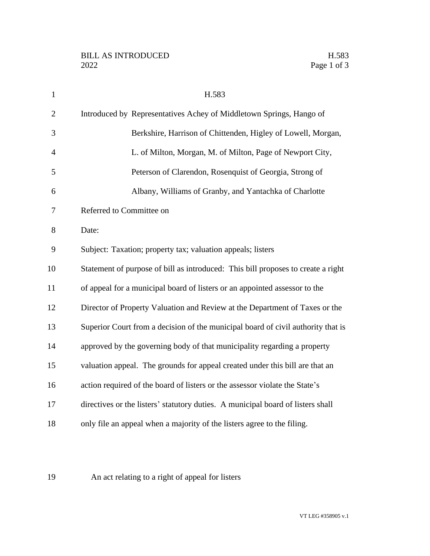| $\mathbf{1}$   | H.583                                                                            |
|----------------|----------------------------------------------------------------------------------|
| $\overline{2}$ | Introduced by Representatives Achey of Middletown Springs, Hango of              |
| 3              | Berkshire, Harrison of Chittenden, Higley of Lowell, Morgan,                     |
| 4              | L. of Milton, Morgan, M. of Milton, Page of Newport City,                        |
| 5              | Peterson of Clarendon, Rosenquist of Georgia, Strong of                          |
| 6              | Albany, Williams of Granby, and Yantachka of Charlotte                           |
| 7              | Referred to Committee on                                                         |
| 8              | Date:                                                                            |
| 9              | Subject: Taxation; property tax; valuation appeals; listers                      |
| 10             | Statement of purpose of bill as introduced: This bill proposes to create a right |
| 11             | of appeal for a municipal board of listers or an appointed assessor to the       |
| 12             | Director of Property Valuation and Review at the Department of Taxes or the      |
| 13             | Superior Court from a decision of the municipal board of civil authority that is |
| 14             | approved by the governing body of that municipality regarding a property         |
| 15             | valuation appeal. The grounds for appeal created under this bill are that an     |
| 16             | action required of the board of listers or the assessor violate the State's      |
| 17             | directives or the listers' statutory duties. A municipal board of listers shall  |
| 18             | only file an appeal when a majority of the listers agree to the filing.          |
|                |                                                                                  |

## An act relating to a right of appeal for listers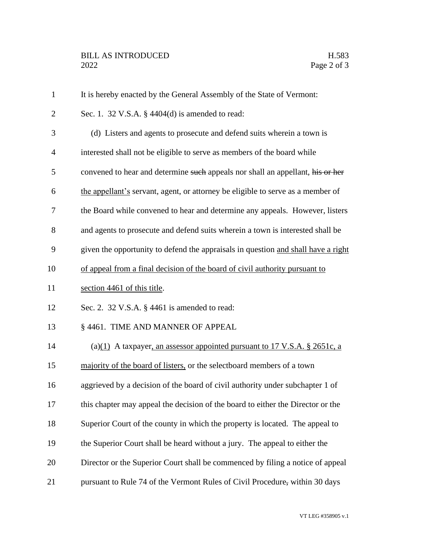| $\mathbf{1}$   | It is hereby enacted by the General Assembly of the State of Vermont:             |
|----------------|-----------------------------------------------------------------------------------|
| $\overline{2}$ | Sec. 1. 32 V.S.A. $\S$ 4404(d) is amended to read:                                |
| 3              | (d) Listers and agents to prosecute and defend suits wherein a town is            |
| $\overline{4}$ | interested shall not be eligible to serve as members of the board while           |
| 5              | convened to hear and determine such appeals nor shall an appellant, his or her    |
| 6              | the appellant's servant, agent, or attorney be eligible to serve as a member of   |
| 7              | the Board while convened to hear and determine any appeals. However, listers      |
| 8              | and agents to prosecute and defend suits wherein a town is interested shall be    |
| 9              | given the opportunity to defend the appraisals in question and shall have a right |
| 10             | of appeal from a final decision of the board of civil authority pursuant to       |
| 11             | section 4461 of this title.                                                       |
| 12             | Sec. 2. 32 V.S.A. § 4461 is amended to read:                                      |
| 13             | § 4461. TIME AND MANNER OF APPEAL                                                 |
| 14             | (a) $(1)$ A taxpayer, an assessor appointed pursuant to 17 V.S.A. § 2651c, a      |
| 15             | majority of the board of listers, or the selectboard members of a town            |
| 16             | aggrieved by a decision of the board of civil authority under subchapter 1 of     |
| 17             | this chapter may appeal the decision of the board to either the Director or the   |
| 18             | Superior Court of the county in which the property is located. The appeal to      |
| 19             | the Superior Court shall be heard without a jury. The appeal to either the        |
| 20             | Director or the Superior Court shall be commenced by filing a notice of appeal    |
| 21             | pursuant to Rule 74 of the Vermont Rules of Civil Procedure, within 30 days       |